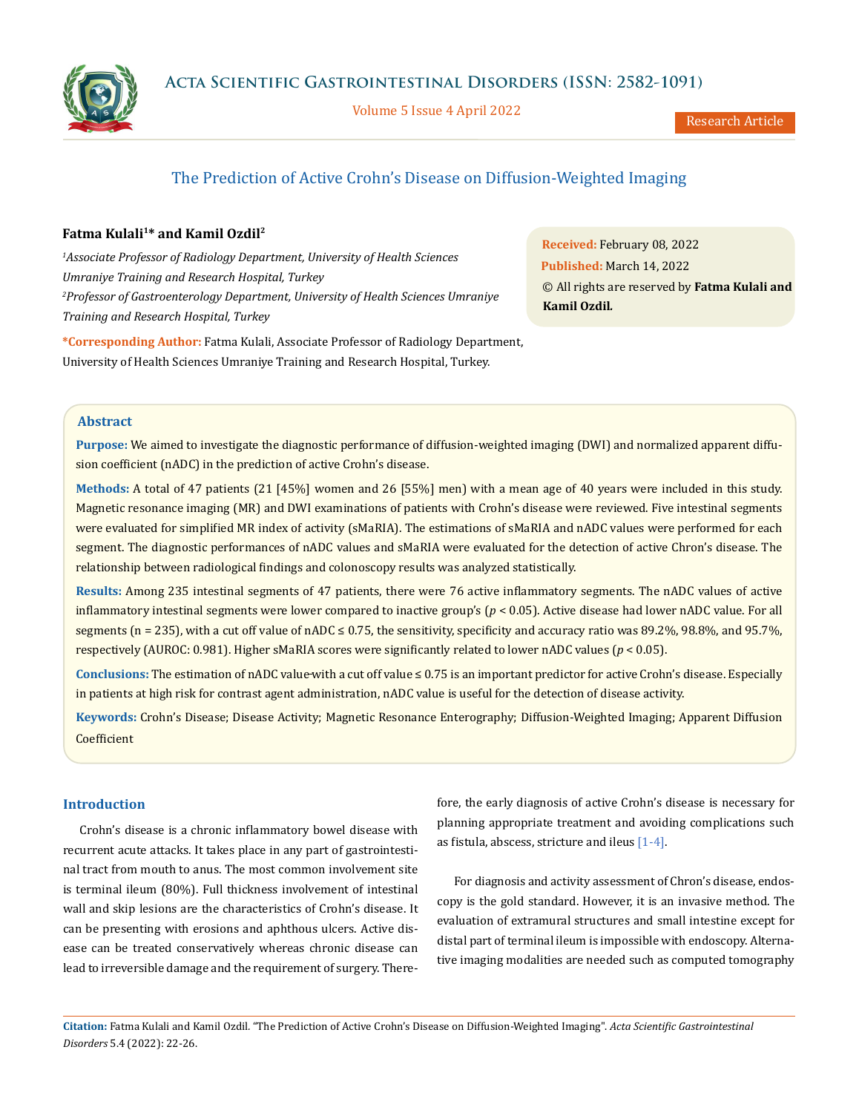



Volume 5 Issue 4 April 2022

Research Article

# The Prediction of Active Crohn's Disease on Diffusion-Weighted Imaging

# Fatma Kulali<sup>1\*</sup> and Kamil Ozdil<sup>2</sup>

*1 Associate Professor of Radiology Department, University of Health Sciences Umraniye Training and Research Hospital, Turkey 2 Professor of Gastroenterology Department, University of Health Sciences Umraniye Training and Research Hospital, Turkey*

**Received:** February 08, 2022 **Published:** March 14, 2022 © All rights are reserved by **Fatma Kulali and Kamil Ozdil***.*

**\*Corresponding Author:** Fatma Kulali, Associate Professor of Radiology Department, University of Health Sciences Umraniye Training and Research Hospital, Turkey.

# **Abstract**

**Purpose:** We aimed to investigate the diagnostic performance of diffusion-weighted imaging (DWI) and normalized apparent diffusion coefficient (nADC) in the prediction of active Crohn's disease.

**Methods:** A total of 47 patients (21 [45%] women and 26 [55%] men) with a mean age of 40 years were included in this study. Magnetic resonance imaging (MR) and DWI examinations of patients with Crohn's disease were reviewed. Five intestinal segments were evaluated for simplified MR index of activity (sMaRIA). The estimations of sMaRIA and nADC values were performed for each segment. The diagnostic performances of nADC values and sMaRIA were evaluated for the detection of active Chron's disease. The relationship between radiological findings and colonoscopy results was analyzed statistically.

**Results:** Among 235 intestinal segments of 47 patients, there were 76 active inflammatory segments. The nADC values of active inflammatory intestinal segments were lower compared to inactive group's (*p* < 0.05). Active disease had lower nADC value. For all segments ( $n = 235$ ), with a cut off value of nADC  $\leq 0.75$ , the sensitivity, specificity and accuracy ratio was 89.2%, 98.8%, and 95.7%, respectively (AUROC: 0.981). Higher sMaRIA scores were significantly related to lower nADC values (*p* < 0.05).

**Conclusions:** The estimation of nADC value with a cut off value ≤ 0.75 is an important predictor for active Crohn's disease. Especially in patients at high risk for contrast agent administration, nADC value is useful for the detection of disease activity.

**Keywords:** Crohn's Disease; Disease Activity; Magnetic Resonance Enterography; Diffusion-Weighted Imaging; Apparent Diffusion Coefficient

# **Introduction**

Crohn's disease is a chronic inflammatory bowel disease with recurrent acute attacks. It takes place in any part of gastrointestinal tract from mouth to anus. The most common involvement site is terminal ileum (80%). Full thickness involvement of intestinal wall and skip lesions are the characteristics of Crohn's disease. It can be presenting with erosions and aphthous ulcers. Active disease can be treated conservatively whereas chronic disease can lead to irreversible damage and the requirement of surgery. Therefore, the early diagnosis of active Crohn's disease is necessary for planning appropriate treatment and avoiding complications such as fistula, abscess, stricture and ileus [1-4].

For diagnosis and activity assessment of Chron's disease, endoscopy is the gold standard. However, it is an invasive method. The evaluation of extramural structures and small intestine except for distal part of terminal ileum is impossible with endoscopy. Alternative imaging modalities are needed such as computed tomography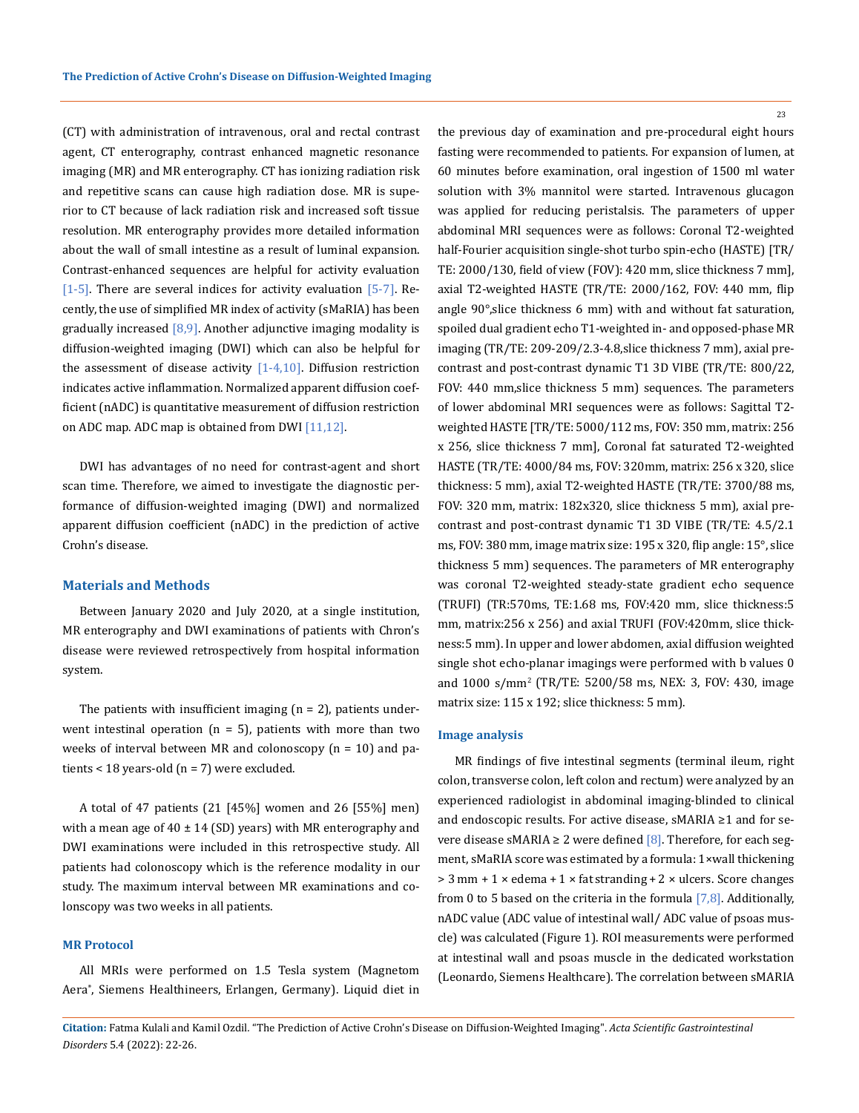(CT) with administration of intravenous, oral and rectal contrast agent, CT enterography, contrast enhanced magnetic resonance imaging (MR) and MR enterography. CT has ionizing radiation risk and repetitive scans can cause high radiation dose. MR is superior to CT because of lack radiation risk and increased soft tissue resolution. MR enterography provides more detailed information about the wall of small intestine as a result of luminal expansion. Contrast-enhanced sequences are helpful for activity evaluation [1-5]. There are several indices for activity evaluation [5-7]. Recently, the use of simplified MR index of activity (sMaRIA) has been gradually increased  $[8,9]$ . Another adjunctive imaging modality is diffusion-weighted imaging (DWI) which can also be helpful for the assessment of disease activity  $[1-4,10]$ . Diffusion restriction indicates active inflammation. Normalized apparent diffusion coefficient (nADC) is quantitative measurement of diffusion restriction on ADC map. ADC map is obtained from DWI [11,12].

DWI has advantages of no need for contrast-agent and short scan time. Therefore, we aimed to investigate the diagnostic performance of diffusion-weighted imaging (DWI) and normalized apparent diffusion coefficient (nADC) in the prediction of active Crohn's disease.

#### **Materials and Methods**

Between January 2020 and July 2020, at a single institution, MR enterography and DWI examinations of patients with Chron's disease were reviewed retrospectively from hospital information system.

The patients with insufficient imaging  $(n = 2)$ , patients underwent intestinal operation  $(n = 5)$ , patients with more than two weeks of interval between MR and colonoscopy (n = 10) and patients < 18 years-old  $(n = 7)$  were excluded.

A total of 47 patients (21 [45%] women and 26 [55%] men) with a mean age of  $40 \pm 14$  (SD) years) with MR enterography and DWI examinations were included in this retrospective study. All patients had colonoscopy which is the reference modality in our study. The maximum interval between MR examinations and colonscopy was two weeks in all patients.

#### **MR Protocol**

All MRIs were performed on 1.5 Tesla system (Magnetom Aera® , Siemens Healthineers, Erlangen, Germany). Liquid diet in the previous day of examination and pre-procedural eight hours fasting were recommended to patients. For expansion of lumen, at 60 minutes before examination, oral ingestion of 1500 ml water solution with 3% mannitol were started. Intravenous glucagon was applied for reducing peristalsis. The parameters of upper abdominal MRI sequences were as follows: Coronal T2-weighted half-Fourier acquisition single-shot turbo spin-echo (HASTE) [TR/ TE: 2000/130, field of view (FOV): 420 mm, slice thickness 7 mm], axial T2-weighted HASTE (TR/TE: 2000/162, FOV: 440 mm, flip angle 90°,slice thickness 6 mm) with and without fat saturation, spoiled dual gradient echo T1-weighted in- and opposed-phase MR imaging (TR/TE: 209-209/2.3-4.8,slice thickness 7 mm), axial precontrast and post-contrast dynamic T1 3D VIBE (TR/TE: 800/22, FOV: 440 mm,slice thickness 5 mm) sequences. The parameters of lower abdominal MRI sequences were as follows: Sagittal T2 weighted HASTE [TR/TE: 5000/112 ms, FOV: 350 mm, matrix: 256 x 256, slice thickness 7 mm], Coronal fat saturated T2-weighted HASTE (TR/TE: 4000/84 ms, FOV: 320mm, matrix: 256 x 320, slice thickness: 5 mm), axial T2-weighted HASTE (TR/TE: 3700/88 ms, FOV: 320 mm, matrix: 182x320, slice thickness 5 mm), axial precontrast and post-contrast dynamic T1 3D VIBE (TR/TE: 4.5/2.1 ms, FOV: 380 mm, image matrix size: 195 x 320, flip angle: 15°, slice thickness 5 mm) sequences. The parameters of MR enterography was coronal T2-weighted steady-state gradient echo sequence (TRUFI) (TR:570ms, TE:1.68 ms, FOV:420 mm, slice thickness:5 mm, matrix:256 x 256) and axial TRUFI (FOV:420mm, slice thickness:5 mm). In upper and lower abdomen, axial diffusion weighted single shot echo-planar imagings were performed with b values 0 and 1000 s/mm<sup>2</sup> (TR/TE: 5200/58 ms, NEX: 3, FOV: 430, image

#### **Image analysis**

matrix size: 115 x 192; slice thickness: 5 mm).

MR findings of five intestinal segments (terminal ileum, right colon, transverse colon, left colon and rectum) were analyzed by an experienced radiologist in abdominal imaging-blinded to clinical and endoscopic results. For active disease, sMARIA ≥1 and for severe disease sMARIA  $\geq 2$  were defined [8]. Therefore, for each segment, sMaRIA score was estimated by a formula: 1×wall thickening > 3 mm + 1 × edema + 1 × fat stranding + 2 × ulcers. Score changes from 0 to 5 based on the criteria in the formula  $[7,8]$ . Additionally, nADC value (ADC value of intestinal wall/ ADC value of psoas muscle) was calculated (Figure 1). ROI measurements were performed at intestinal wall and psoas muscle in the dedicated workstation (Leonardo, Siemens Healthcare). The correlation between sMARIA

**Citation:** Fatma Kulali and Kamil Ozdil*.* "The Prediction of Active Crohn's Disease on Diffusion-Weighted Imaging". *Acta Scientific Gastrointestinal Disorders* 5.4 (2022): 22-26.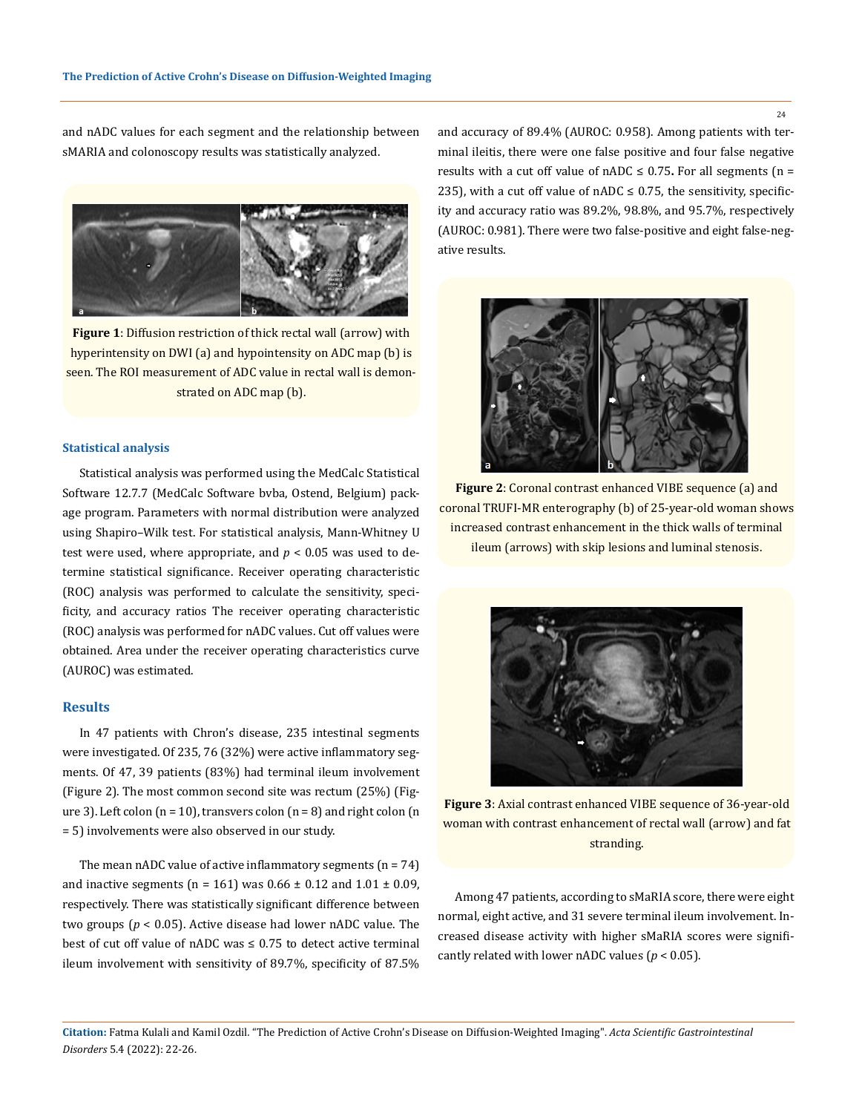and nADC values for each segment and the relationship between sMARIA and colonoscopy results was statistically analyzed.



**Figure 1**: Diffusion restriction of thick rectal wall (arrow) with hyperintensity on DWI (a) and hypointensity on ADC map (b) is seen. The ROI measurement of ADC value in rectal wall is demonstrated on ADC map (b).

### **Statistical analysis**

Statistical analysis was performed using the MedCalc Statistical Software 12.7.7 (MedCalc Software bvba, Ostend, Belgium) package program. Parameters with normal distribution were analyzed using Shapiro–Wilk test. For statistical analysis, Mann-Whitney U test were used, where appropriate, and  $p < 0.05$  was used to determine statistical significance. Receiver operating characteristic (ROC) analysis was performed to calculate the sensitivity, specificity, and accuracy ratios The receiver operating characteristic (ROC) analysis was performed for nADC values. Cut off values were obtained. Area under the receiver operating characteristics curve (AUROC) was estimated.

#### **Results**

In 47 patients with Chron's disease, 235 intestinal segments were investigated. Of 235, 76 (32%) were active inflammatory segments. Of 47, 39 patients (83%) had terminal ileum involvement (Figure 2). The most common second site was rectum (25%) (Figure 3). Left colon  $(n = 10)$ , transvers colon  $(n = 8)$  and right colon  $(n = 10)$ = 5) involvements were also observed in our study.

The mean nADC value of active inflammatory segments  $(n = 74)$ and inactive segments ( $n = 161$ ) was  $0.66 \pm 0.12$  and  $1.01 \pm 0.09$ , respectively. There was statistically significant difference between two groups (*p* < 0.05). Active disease had lower nADC value. The best of cut off value of nADC was  $\leq 0.75$  to detect active terminal ileum involvement with sensitivity of 89.7%, specificity of 87.5%

and accuracy of 89.4% (AUROC: 0.958). Among patients with terminal ileitis, there were one false positive and four false negative results with a cut off value of  $nADC \leq 0.75$ . For all segments ( $n =$ 235), with a cut off value of  $nADC \le 0.75$ , the sensitivity, specificity and accuracy ratio was 89.2%, 98.8%, and 95.7%, respectively (AUROC: 0.981). There were two false-positive and eight false-negative results.



**Figure 2**: Coronal contrast enhanced VIBE sequence (a) and coronal TRUFI-MR enterography (b) of 25-year-old woman shows increased contrast enhancement in the thick walls of terminal ileum (arrows) with skip lesions and luminal stenosis.



**Figure 3**: Axial contrast enhanced VIBE sequence of 36-year-old woman with contrast enhancement of rectal wall (arrow) and fat stranding.

Among 47 patients, according to sMaRIA score, there were eight normal, eight active, and 31 severe terminal ileum involvement. Increased disease activity with higher sMaRIA scores were significantly related with lower nADC values ( $p < 0.05$ ).

**Citation:** Fatma Kulali and Kamil Ozdil*.* "The Prediction of Active Crohn's Disease on Diffusion-Weighted Imaging". *Acta Scientific Gastrointestinal Disorders* 5.4 (2022): 22-26.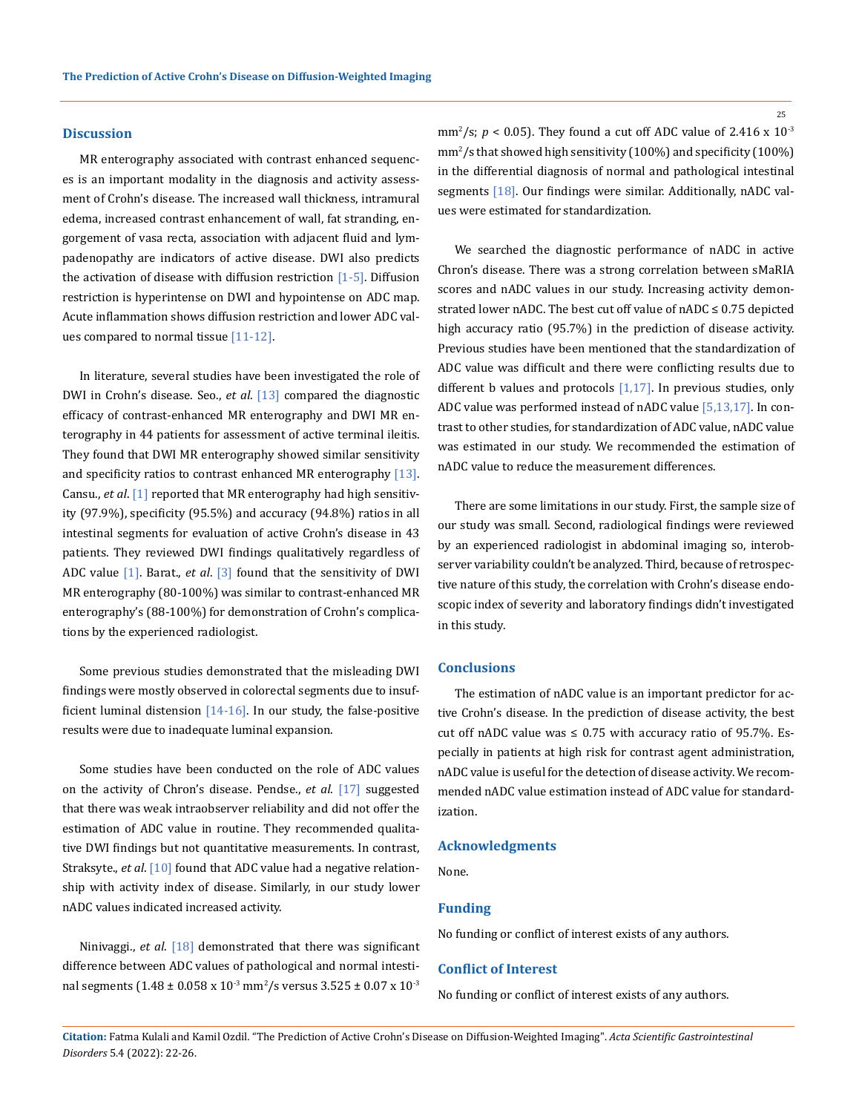#### **Discussion**

MR enterography associated with contrast enhanced sequences is an important modality in the diagnosis and activity assessment of Crohn's disease. The increased wall thickness, intramural edema, increased contrast enhancement of wall, fat stranding, engorgement of vasa recta, association with adjacent fluid and lympadenopathy are indicators of active disease. DWI also predicts the activation of disease with diffusion restriction  $[1-5]$ . Diffusion restriction is hyperintense on DWI and hypointense on ADC map. Acute inflammation shows diffusion restriction and lower ADC values compared to normal tissue [11-12].

In literature, several studies have been investigated the role of DWI in Crohn's disease. Seo., *et al*. [13] compared the diagnostic efficacy of contrast-enhanced MR enterography and DWI MR enterography in 44 patients for assessment of active terminal ileitis. They found that DWI MR enterography showed similar sensitivity and specificity ratios to contrast enhanced MR enterography [13]. Cansu., *et al*. [1] reported that MR enterography had high sensitivity (97.9%), specificity (95.5%) and accuracy (94.8%) ratios in all intestinal segments for evaluation of active Crohn's disease in 43 patients. They reviewed DWI findings qualitatively regardless of ADC value [1]. Barat., *et al*. [3] found that the sensitivity of DWI MR enterography (80-100%) was similar to contrast-enhanced MR enterography's (88-100%) for demonstration of Crohn's complications by the experienced radiologist.

Some previous studies demonstrated that the misleading DWI findings were mostly observed in colorectal segments due to insufficient luminal distension [14-16]. In our study, the false-positive results were due to inadequate luminal expansion.

Some studies have been conducted on the role of ADC values on the activity of Chron's disease. Pendse., *et al*. [17] suggested that there was weak intraobserver reliability and did not offer the estimation of ADC value in routine. They recommended qualitative DWI findings but not quantitative measurements. In contrast, Straksyte., *et al*. [10] found that ADC value had a negative relationship with activity index of disease. Similarly, in our study lower nADC values indicated increased activity.

Ninivaggi., *et al*. [18] demonstrated that there was significant difference between ADC values of pathological and normal intestinal segments ( $1.48 \pm 0.058 \times 10^{3} \text{ mm}^2/\text{s}$  versus  $3.525 \pm 0.07 \times 10^{3}$ 

mm<sup>2</sup>/s;  $p < 0.05$ ). They found a cut off ADC value of 2.416 x  $10^{-3}$ mm2 /s that showed high sensitivity (100%) and specificity (100%) in the differential diagnosis of normal and pathological intestinal segments [18]. Our findings were similar. Additionally, nADC values were estimated for standardization.

We searched the diagnostic performance of nADC in active Chron's disease. There was a strong correlation between sMaRIA scores and nADC values in our study. Increasing activity demonstrated lower nADC. The best cut off value of nADC ≤ 0.75 depicted high accuracy ratio (95.7%) in the prediction of disease activity. Previous studies have been mentioned that the standardization of ADC value was difficult and there were conflicting results due to different b values and protocols  $[1,17]$ . In previous studies, only ADC value was performed instead of nADC value [5,13,17]. In contrast to other studies, for standardization of ADC value, nADC value was estimated in our study. We recommended the estimation of nADC value to reduce the measurement differences.

There are some limitations in our study. First, the sample size of our study was small. Second, radiological findings were reviewed by an experienced radiologist in abdominal imaging so, interobserver variability couldn't be analyzed. Third, because of retrospective nature of this study, the correlation with Crohn's disease endoscopic index of severity and laboratory findings didn't investigated in this study.

#### **Conclusions**

The estimation of nADC value is an important predictor for active Crohn's disease. In the prediction of disease activity, the best cut off nADC value was  $\leq 0.75$  with accuracy ratio of 95.7%. Especially in patients at high risk for contrast agent administration, nADC value is useful for the detection of disease activity. We recommended nADC value estimation instead of ADC value for standardization.

#### **Acknowledgments**

None.

#### **Funding**

No funding or conflict of interest exists of any authors.

## **Conflict of Interest**

No funding or conflict of interest exists of any authors.